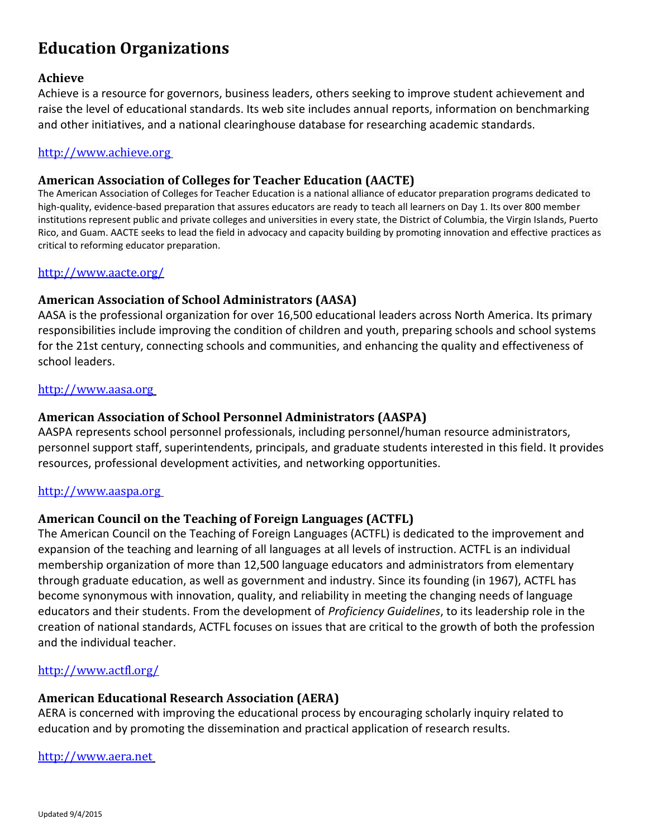# **Education Organizations**

### **[Achieve](http://www.achieve.org/)**

Achieve is a resource for governors, business leaders, others seeking to improve student achievement and raise the level of educational standards. Its web site includes annual reports, information on benchmarking and other initiatives, and a national clearinghouse database for researching academic standards.

### [http://www.achieve.org](http://www.achieve.org/)

### **American Association of Colleges for Teacher Education (AACTE)**

The American Association of Colleges for Teacher Education is a national alliance of educator preparation programs dedicated to high-quality, evidence-based preparation that assures educators are ready to teach all learners on Day 1. Its over 800 member institutions represent public and private colleges and universities in every state, the District of Columbia, the Virgin Islands, Puerto Rico, and Guam. AACTE seeks to lead the field in advocacy and capacity building by promoting innovation and effective practices as critical to reforming educator preparation.

#### <http://www.aacte.org/>

### **[American Association of School Administrators \(AASA\)](http://www.aasa.org/)**

AASA is the professional organization for over 16,500 educational leaders across North America. Its primary responsibilities include improving the condition of children and youth, preparing schools and school systems for the 21st century, connecting schools and communities, and enhancing the quality and effectiveness of school leaders.

#### [http://www.aasa.org](http://www.aasa.org/)

### **[American Association of School Personnel Administrators \(AASPA\)](http://www.aaspa.org/)**

AASPA represents school personnel professionals, including personnel/human resource administrators, personnel support staff, superintendents, principals, and graduate students interested in this field. It provides resources, professional development activities, and networking opportunities.

#### [http://www.aaspa.org](http://www.aaspa.org/)

#### **American Council on the Teaching of Foreign Languages (ACTFL)**

The American Council on the Teaching of Foreign Languages (ACTFL) is dedicated to the improvement and expansion of the teaching and learning of all languages at all levels of instruction. ACTFL is an individual membership organization of more than 12,500 language educators and administrators from elementary through graduate education, as well as government and industry. Since its founding (in 1967), ACTFL has become synonymous with innovation, quality, and reliability in meeting the changing needs of language educators and their students. From the development of *Proficiency Guidelines*, to its leadership role in the creation of national standards, ACTFL focuses on issues that are critical to the growth of both the profession and the individual teacher.

#### <http://www.actfl.org/>

#### **[American Educational Research Association \(AERA\)](http://www.aera.net/)**

AERA is concerned with improving the educational process by encouraging scholarly inquiry related to education and by promoting the dissemination and practical application of research results.

[http://www.aera.net](http://www.aera.net/)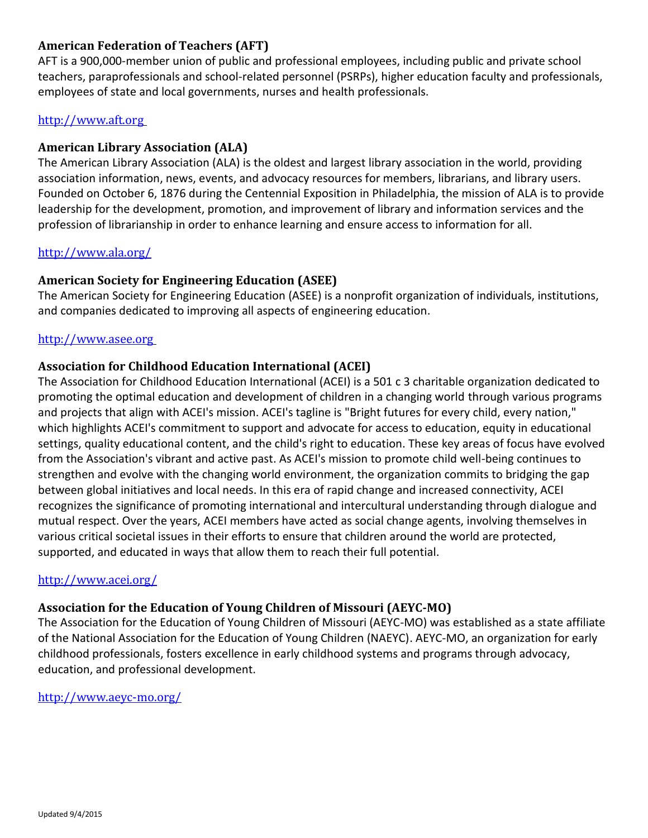# **[American Federation of Teachers \(AFT\)](http://www.aft.org/)**

AFT is a 900,000-member union of public and professional employees, including public and private school teachers, paraprofessionals and school-related personnel (PSRPs), higher education faculty and professionals, employees of state and local governments, nurses and health professionals.

### [http://www.aft.org](http://www.aft.org/)

### **American Library Association (ALA)**

The American Library Association (ALA) is the oldest and largest library association in the world, providing association information, news, events, and advocacy resources for members, librarians, and library users. Founded on October 6, 1876 during the Centennial Exposition in Philadelphia, the mission of ALA is to provide leadership for the development, promotion, and improvement of library and information services and the profession of librarianship in order to enhance learning and ensure access to information for all.

### <http://www.ala.org/>

### **[American Society for Engineering](http://www.asee.org/) Education (ASEE)**

The American Society for Engineering Education (ASEE) is a nonprofit organization of individuals, institutions, and companies dedicated to improving all aspects of engineering education.

### [http://www.asee.org](http://www.asee.org/)

### **Association for Childhood Education International (ACEI)**

The Association for Childhood Education International (ACEI) is a 501 c 3 charitable organization dedicated to promoting the optimal education and development of children in a changing world through various programs and projects that align with ACEI's mission. ACEI's tagline is "Bright futures for every child, every nation," which highlights ACEI's commitment to support and advocate for access to education, equity in educational settings, quality educational content, and the child's right to education. These key areas of focus have evolved from the Association's vibrant and active past. As ACEI's mission to promote child well-being continues to strengthen and evolve with the changing world environment, the organization commits to bridging the gap between global initiatives and local needs. In this era of rapid change and increased connectivity, ACEI recognizes the significance of promoting international and intercultural understanding through dialogue and mutual respect. Over the years, ACEI members have acted as social change agents, involving themselves in various critical societal issues in their efforts to ensure that children around the world are protected, supported, and educated in ways that allow them to reach their full potential.

#### <http://www.acei.org/>

### **Association for the Education of Young Children of Missouri (AEYC-MO)**

The Association for the Education of Young Children of Missouri (AEYC-MO) was established as a state affiliate of the National Association for the Education of Young Children (NAEYC). AEYC-MO, an organization for early childhood professionals, fosters excellence in early childhood systems and programs through advocacy, education, and professional development.

### <http://www.aeyc-mo.org/>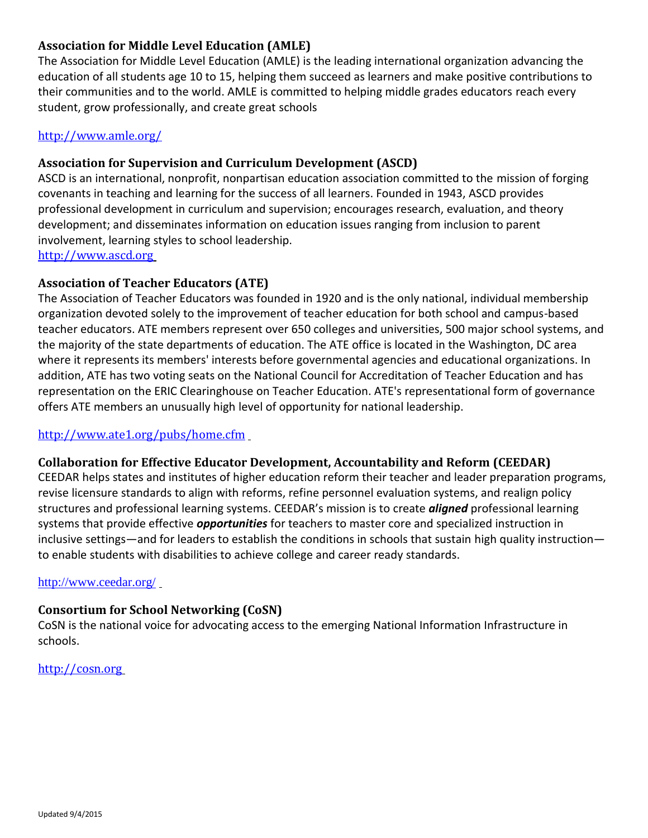# **Association for Middle Level Education (AMLE)**

The Association for Middle Level Education (AMLE) is the leading international organization advancing the education of all students age 10 to 15, helping them succeed as learners and make positive contributions to their communities and to the world. AMLE is committed to helping middle grades educators reach every student, grow professionally, and create great schools

# <http://www.amle.org/>

# **[Association for Supervision and Curriculum Development \(ASCD\)](http://www.ascd.org/)**

ASCD is an international, nonprofit, nonpartisan education association committed to the mission of forging covenants in teaching and learning for the success of all learners. Founded in 1943, ASCD provides professional development in curriculum and supervision; encourages research, evaluation, and theory development; and disseminates information on education issues ranging from inclusion to parent involvement, learning styles to school leadership. [http://www.ascd.org](http://www.ascd.org/)

### **[Association of](http://www.ascd.org/) Teacher Educators (ATE)**

The Association of Teacher Educators was founded in 1920 and is the only national, individual membership organization devoted solely to the improvement of teacher education for both school and campus-based teacher educators. ATE members represent over 650 colleges and universities, 500 major school systems, and the majority of the state departments of education. The ATE office is located in the Washington, DC area where it represents its members' interests before governmental agencies and educational organizations. In addition, ATE has two voting seats on the National Council for Accreditation of Teacher Education and has representation on the ERIC Clearinghouse on Teacher Education. ATE's representational form of governance offers ATE members an unusually high level of opportunity for national leadership.

### <http://www.ate1.org/pubs/home.cfm>

### **Collaboration [for Effective Educator Development, Accountability and Reform](http://cosn.org/) (CEEDAR)**

CEEDAR helps states and institutes of higher education reform their teacher and leader preparation programs, revise licensure standards to align with reforms, refine personnel evaluation systems, and realign policy structures and professional learning systems. CEEDAR's mission is to create *aligned* professional learning systems that provide effective *opportunities* for teachers to master core and specialized instruction in inclusive settings—and for leaders to establish the conditions in schools that sustain high quality instruction to enable students with disabilities to achieve college and career ready standards.

#### <http://www.ceedar.org/>

### **[Consortium for School Networking \(CoSN\)](http://cosn.org/)**

CoSN is the national voice for advocating access to the emerging National Information Infrastructure in schools.

[http://cosn.org](http://cosn.org/)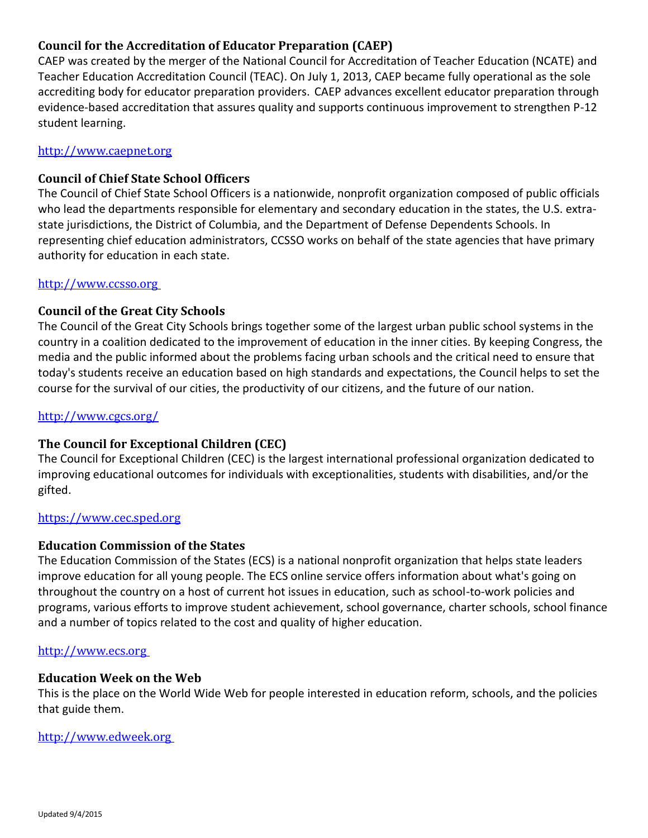# **[Council for](http://www.ccsso.org/) the Accreditation of Educator Preparation (CAEP)**

CAEP was created by the merger of the National Council for Accreditation of Teacher Education (NCATE) and Teacher Education Accreditation Council (TEAC). On July 1, 2013, CAEP became fully operational as the sole accrediting body for educator preparation providers. CAEP advances excellent educator preparation through evidence-based accreditation that assures quality and supports continuous improvement to strengthen P-12 student learning.

### [http://www.caepnet.org](http://www.caepnet.org/)

### **[Council of Chief State School Officers](http://www.ccsso.org/)**

The Council of Chief State School Officers is a nationwide, nonprofit organization composed of public officials who lead the departments responsible for elementary and secondary education in the states, the U.S. extrastate jurisdictions, the District of Columbia, and the Department of Defense Dependents Schools. In representing chief education administrators, CCSSO works on behalf of the state agencies that have primary authority for education in each state.

#### [http://www.ccsso.org](http://www.ccsso.org/)

### **[Council of the Great City Schools](http://www.cgcs.org/)**

The Council of the Great City Schools brings together some of the largest urban public school systems in the country in a coalition dedicated to the improvement of education in the inner cities. By keeping Congress, the media and the public informed about the problems facing urban schools and the critical need to ensure that today's students receive an education based on high standards and expectations, the Council helps to set the course for the survival of our cities, the productivity of our citizens, and the future of our nation.

#### <http://www.cgcs.org/>

### **The Council for Exceptional Children (CEC)**

The Council for Exceptional Children (CEC) is the largest international professional organization dedicated to improving educational outcomes for individuals with exceptionalities, students with disabilities, and/or the gifted.

### [https://www.cec.sped.org](https://www.cec.sped.org/)

#### **[Education Commission of the States](http://www.ecs.org/)**

The Education Commission of the States (ECS) is a national nonprofit organization that helps state leaders improve education for all young people. The ECS online service offers information about what's going on throughout the country on a host of current hot issues in education, such as school-to-work policies and programs, various efforts to improve student achievement, school governance, charter schools, school finance and a number of topics related to the cost and quality of higher education.

#### [http://www.ecs.org](http://www.ecs.org/)

#### **[Education Week on the Web](http://www.edweek.org/)**

This is the place on the World Wide Web for people interested in education reform, schools, and the policies that guide them.

#### [http://www.edweek.org](http://www.edweek.org/)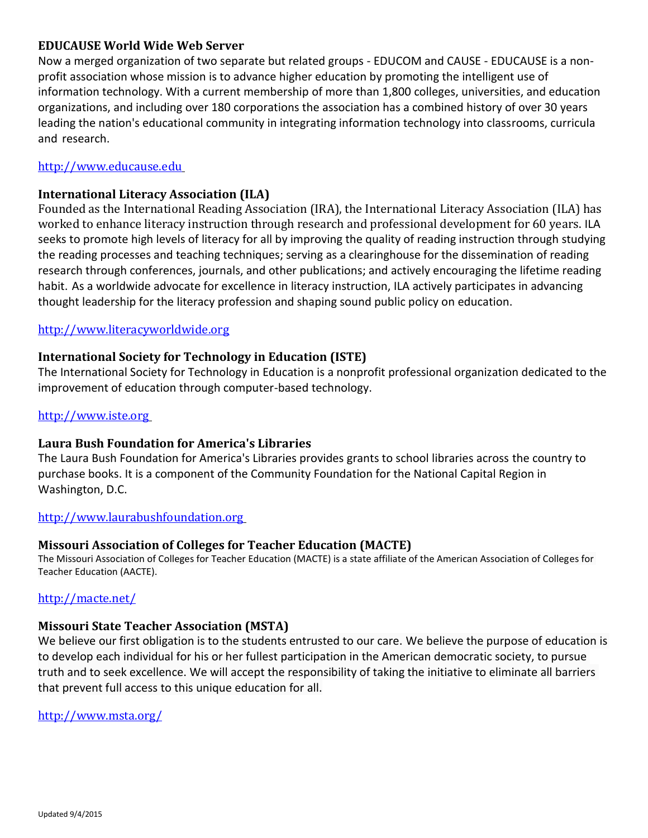### **[EDUCAUSE World Wide Web Server](http://www.educause.edu/)**

Now a merged organization of two separate but related groups - EDUCOM and CAUSE - EDUCAUSE is a nonprofit association whose mission is to advance higher education by promoting the intelligent use of information technology. With a current membership of more than 1,800 colleges, universities, and education organizations, and including over 180 corporations the association has a combined history of over 30 years leading the nation's educational community in integrating information technology into classrooms, curricula and research.

### [http://www.educause.edu](http://www.educause.edu/)

### **[International Literacy](http://www.reading.org/) Association (ILA)**

Founded as the International Reading Association (IRA), the International Literacy Association (ILA) has worked to enhance literacy instruction through research and professional development for 60 years. ILA seeks to promote high levels of literacy for all by improving the quality of reading instruction through studying the reading processes and teaching techniques; serving as a clearinghouse for the dissemination of reading research through conferences, journals, and other publications; and actively encouraging the lifetime reading habit. As a worldwide advocate for excellence in literacy instruction, ILA actively participates in advancing thought leadership for the literacy profession and shaping sound public policy on education.

### [http://www.literacyworldwide.org](http://www.literacyworldwide.org/)

### **[International Society for Technology in Education \(ISTE\)](http://www.iste.org/)**

The International Society for Technology in Education is a nonprofit professional organization dedicated to the improvement of education through computer-based technology.

#### [http://www.iste.org](http://www.iste.org/)

#### **[Laura Bush Foundation for America's Libraries](http://www.laurabushfoundation.org/)**

The Laura Bush Foundation for America's Libraries provides grants to school libraries across the country to purchase books. It is a component of the Community Foundation for the National Capital Region in Washington, D.C.

#### [http://www.laurabushfoundation.org](http://www.laurabushfoundation.org/)

### **Missouri Association of Colleges for Teacher Education (MACTE)**

The Missouri Association of Colleges for Teacher Education (MACTE) is a state affiliate of the American Association of Colleges for Teacher Education (AACTE).

### <http://macte.net/>

#### **Missouri State Teacher Association (MSTA)**

We believe our first obligation is to the students entrusted to our care. We believe the purpose of education is to develop each individual for his or her fullest participation in the American democratic society, to pursue truth and to seek excellence. We will accept the responsibility of taking the initiative to eliminate all barriers that prevent full access to this unique education for all.

#### <http://www.msta.org/>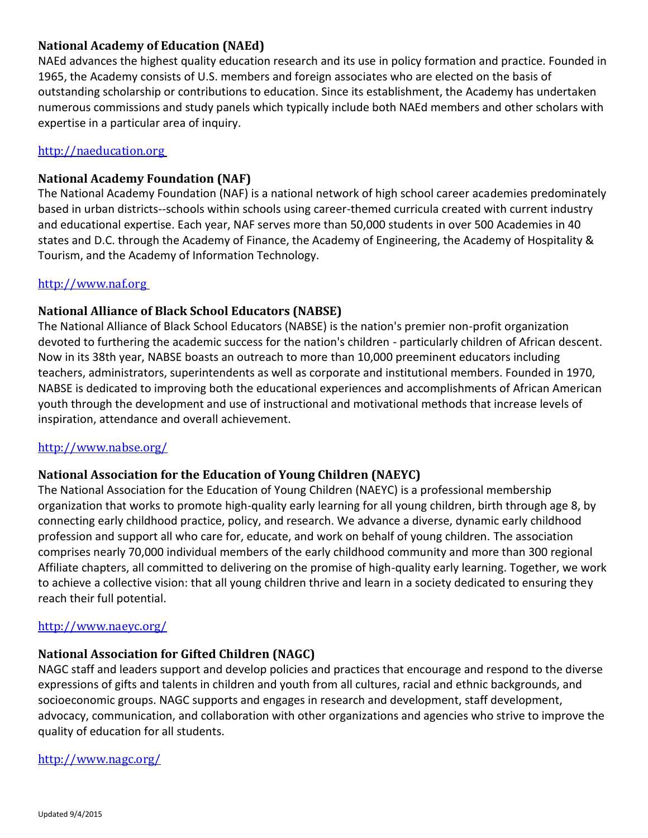# **[National Academy of Education \(NAEd\)](http://naeducation.org/index.html)**

NAEd advances the highest quality education research and its use in policy formation and practice. Founded in 1965, the Academy consists of U.S. members and foreign associates who are elected on the basis of outstanding scholarship or contributions to education. Since its establishment, the Academy has undertaken numerous commissions and study panels which typically include both NAEd members and other scholars with expertise in a particular area of inquiry.

# [http://naeducation.org](http://naeducation.org/)

# **[National Academy Foundation \(NAF\)](http://www.naf.org/)**

The National Academy Foundation (NAF) is a national network of high school career academies predominately based in urban districts--schools within schools using career-themed curricula created with current industry and educational expertise. Each year, NAF serves more than 50,000 students in over 500 Academies in 40 states and D.C. through the Academy of Finance, the Academy of Engineering, the Academy of Hospitality & Tourism, and the Academy of Information Technology.

### [http://www.naf.org](http://www.naf.org/)

# **National Alliance of Black School Educators (NABSE)**

The National Alliance of Black School Educators (NABSE) is the nation's premier non-profit organization devoted to furthering the academic success for the nation's children - particularly children of African descent. Now in its 38th year, NABSE boasts an outreach to more than 10,000 preeminent educators including teachers, administrators, superintendents as well as corporate and institutional members. Founded in 1970, NABSE is dedicated to improving both the educational experiences and accomplishments of African American youth through the development and use of instructional and motivational methods that increase levels of inspiration, attendance and overall achievement.

### <http://www.nabse.org/>

# **National Association for the Education of Young Children (NAEYC)**

The National Association for the Education of Young Children (NAEYC) is a professional membership organization that works to promote high-quality early learning for all young children, birth through age 8, by connecting early childhood practice, policy, and research. We advance a diverse, dynamic early childhood profession and support all who care for, educate, and work on behalf of young children. The association comprises nearly 70,000 individual members of the early childhood community and more than 300 regional Affiliate chapters, all committed to delivering on the promise of high-quality early learning. Together, we work to achieve a collective vision: that all young children thrive and learn in a society dedicated to ensuring they reach their full potential.

### <http://www.naeyc.org/>

### **National Association for Gifted Children (NAGC)**

NAGC staff and leaders support and develop policies and practices that encourage and respond to the diverse expressions of gifts and talents in children and youth from all cultures, racial and ethnic backgrounds, and socioeconomic groups. NAGC supports and engages in research and development, staff development, advocacy, communication, and collaboration with other organizations and agencies who strive to improve the quality of education for all students.

### <http://www.nagc.org/>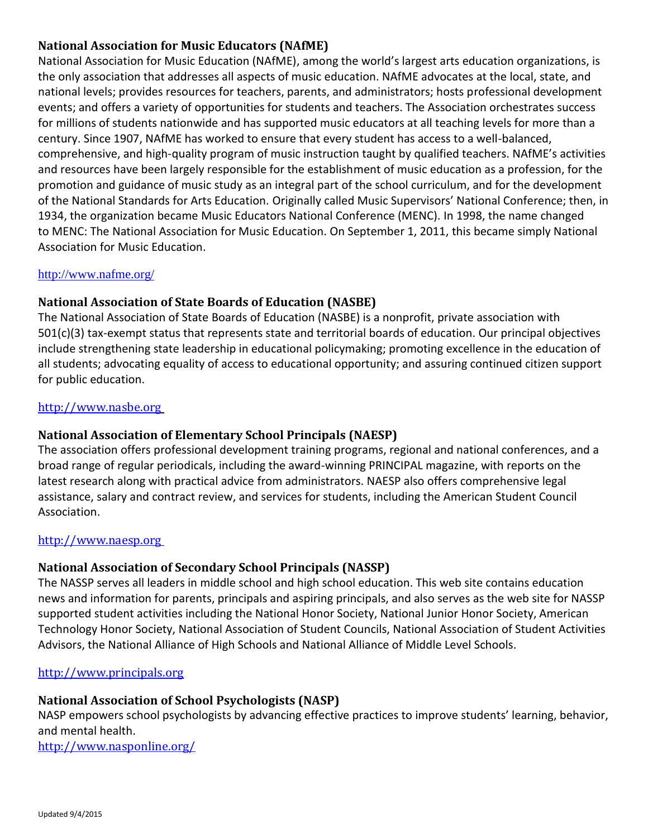# **National Association for Music Educators (NAfME)**

National Association for Music Education (NAfME), among the world's largest arts education organizations, is the only association that addresses all aspects of music education. NAfME advocates at the local, state, and national levels; provides resources for teachers, parents, and administrators; hosts professional development events; and offers a variety of opportunities for students and teachers. The Association orchestrates success for millions of students nationwide and has supported music educators at all teaching levels for more than a century. Since 1907, NAfME has worked to ensure that every student has access to a well-balanced, comprehensive, and high-quality program of music instruction taught by qualified teachers. NAfME's activities and resources have been largely responsible for the establishment of music education as a profession, for the promotion and guidance of music study as an integral part of the school curriculum, and for the development of the National Standards for Arts Education. Originally called Music Supervisors' National Conference; then, in 1934, the organization became Music Educators National Conference (MENC). In 1998, the name changed to MENC: The National Association for Music Education. On September 1, 2011, this became simply National Association for Music Education.

### <http://www.nafme.org/>

### **[National Association of State Boards of Education \(NASBE\)](http://www.nasbe.org/)**

The National Association of State Boards of Education (NASBE) is a nonprofit, private association with 501(c)(3) tax-exempt status that represents state and territorial boards of education. Our principal objectives include strengthening state leadership in educational policymaking; promoting excellence in the education of all students; advocating equality of access to educational opportunity; and assuring continued citizen support for public education.

### [http://www.nasbe.org](http://www.nasbe.org/)

### **[National Association of Elementary School Principals \(NAESP\)](http://www.naesp.org/)**

The association offers professional development training programs, regional and national conferences, and a broad range of regular periodicals, including the award-winning PRINCIPAL magazine, with reports on the latest research along with practical advice from administrators. NAESP also offers comprehensive legal assistance, salary and contract review, and services for students, including the American Student Council Association.

### [http://www.naesp.org](http://www.naesp.org/)

### **[National Association of Secondary School Principals \(NASSP\)](http://www.principals.org/s_nassp/index.asp)**

The NASSP serves all leaders in middle school and high school education. This web site contains education news and information for parents, principals and aspiring principals, and also serves as the web site for NASSP supported student activities including the National Honor Society, National Junior Honor Society, American Technology Honor Society, National Association of Student Councils, National Association of Student Activities Advisors, the National Alliance of High Schools and National Alliance of Middle Level Schools.

#### [http://www.principals.org](http://www.principals.org/)

# **National Association of School Psychologists (NASP)**

NASP empowers school psychologists by advancing effective practices to improve students' learning, behavior, and mental health.

<http://www.nasponline.org/>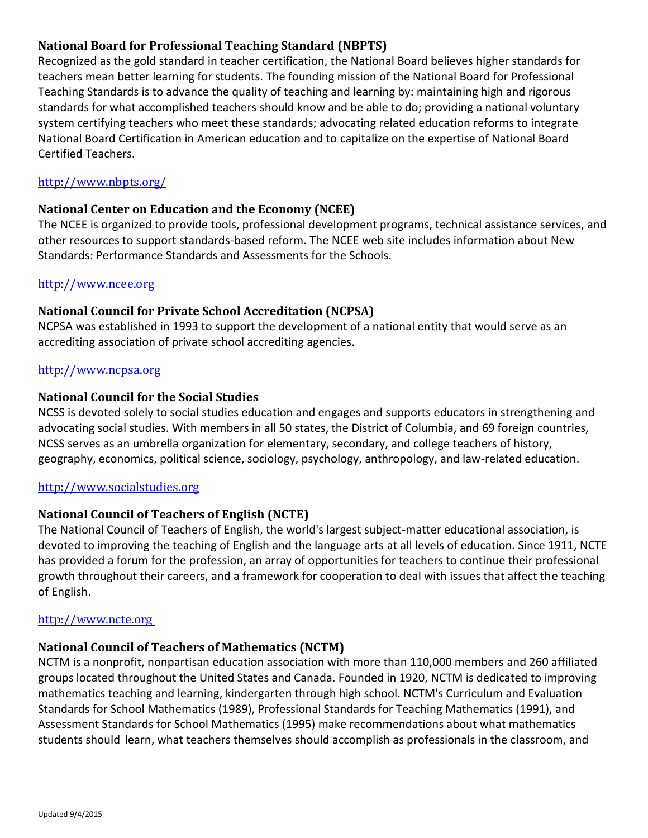# **National Board for Professional Teaching Standard (NBPTS)**

Recognized as the gold standard in teacher certification, the National Board believes higher standards for teachers mean better learning for students. The founding mission of the National Board for Professional Teaching Standards is to advance the quality of teaching and learning by: maintaining high and rigorous standards for what accomplished teachers should know and be able to do; providing a national voluntary system certifying teachers who meet these standards; advocating related education reforms to integrate National Board Certification in American education and to capitalize on the expertise of National Board Certified Teachers.

### <http://www.nbpts.org/>

### **[National Center on Education and the Economy \(NCEE\)](http://www.ncee.org/)**

The NCEE is organized to provide tools, professional development programs, technical assistance services, and other resources to support standards-based reform. The NCEE web site includes information about New Standards: Performance Standards and Assessments for the Schools.

#### [http://www.ncee.org](http://www.ncee.org/)

### **[National Council for Private School Accreditation \(NCPSA\)](http://www.ncpsa.org/)**

NCPSA was established in 1993 to support the development of a national entity that would serve as an accrediting association of private school accrediting agencies.

#### [http://www.ncpsa.org](http://www.ncpsa.org/)

### **[National Council for the Social Studies](http://www.ncss.org/)**

NCSS is devoted solely to social studies education and engages and supports educators in strengthening and advocating social studies. With members in all 50 states, the District of Columbia, and 69 foreign countries, NCSS serves as an umbrella organization for elementary, secondary, and college teachers of history, geography, economics, political science, sociology, psychology, anthropology, and law-related education.

#### [http://www.socialstudies.org](http://www.socialstudies.org/)

### **[National Council of Teachers of English \(NCTE\)](http://www.ncte.org/)**

The National Council of Teachers of English, the world's largest subject-matter educational association, is devoted to improving the teaching of English and the language arts at all levels of education. Since 1911, NCTE has provided a forum for the profession, an array of opportunities for teachers to continue their professional growth throughout their careers, and a framework for cooperation to deal with issues that affect the teaching of English.

#### [http://www.ncte.org](http://www.ncte.org/)

#### **[National Council of Teachers of Mathematics \(NCTM\)](http://www.nctm.org/)**

NCTM is a nonprofit, nonpartisan education association with more than 110,000 members and 260 affiliated groups located throughout the United States and Canada. Founded in 1920, NCTM is dedicated to improving mathematics teaching and learning, kindergarten through high school. NCTM's Curriculum and Evaluation Standards for School Mathematics (1989), Professional Standards for Teaching Mathematics (1991), and Assessment Standards for School Mathematics (1995) make recommendations about what mathematics students should learn, what teachers themselves should accomplish as professionals in the classroom, and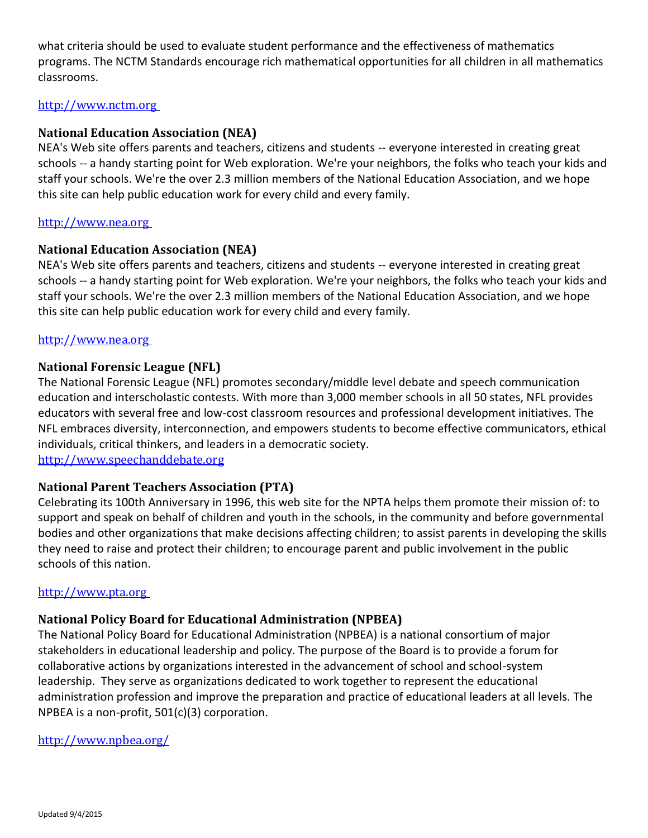what criteria should be used to evaluate student performance and the effectiveness of mathematics programs. The NCTM Standards encourage rich mathematical opportunities for all children in all mathematics classrooms.

#### [http://www.nctm.org](http://www.nctm.org/)

#### **[National Education Association \(NEA\)](http://www.nea.org/)**

NEA's Web site offers parents and teachers, citizens and students -- everyone interested in creating great schools -- a handy starting point for Web exploration. We're your neighbors, the folks who teach your kids and staff your schools. We're the over 2.3 million members of the National Education Association, and we hope this site can help public education work for every child and every family.

#### [http://www.nea.org](http://www.nea.org/)

#### **[National Education Association \(NEA\)](http://www.nea.org/)**

NEA's Web site offers parents and teachers, citizens and students -- everyone interested in creating great schools -- a handy starting point for Web exploration. We're your neighbors, the folks who teach your kids and staff your schools. We're the over 2.3 million members of the National Education Association, and we hope this site can help public education work for every child and every family.

#### [http://www.nea.org](http://www.nea.org/)

#### **[National Forensic League \(NFL\)](http://www.nflonline.org/)**

The National Forensic League (NFL) promotes secondary/middle level debate and speech communication education and interscholastic contests. With more than 3,000 member schools in all 50 states, NFL provides educators with several free and low-cost classroom resources and professional development initiatives. The NFL embraces diversity, interconnection, and empowers students to become effective communicators, ethical individuals, critical thinkers, and leaders in a democratic society. [http://www.speechanddebate.org](http://www.speechanddebate.org/)

#### **[National Parent Teachers Association \(PTA\)](http://www.pta.org/)**

Celebrating its 100th Anniversary in 1996, this web site for the NPTA helps them promote their mission of: to support and speak on behalf of children and youth in the schools, in the community and before governmental bodies and other organizations that make decisions affecting children; to assist parents in developing the skills they need to raise and protect their children; to encourage parent and public involvement in the public schools of this nation.

#### [http://www.pta.org](http://www.pta.org/)

#### **National Policy Board for Educational Administration (NPBEA)**

The National Policy Board for Educational Administration (NPBEA) is a national consortium of major stakeholders in educational leadership and policy. The purpose of the Board is to provide a forum for collaborative actions by organizations interested in the advancement of school and school-system leadership. They serve as organizations dedicated to work together to represent the educational administration profession and improve the preparation and practice of educational leaders at all levels. The NPBEA is a non-profit, 501(c)(3) corporation.

#### <http://www.npbea.org/>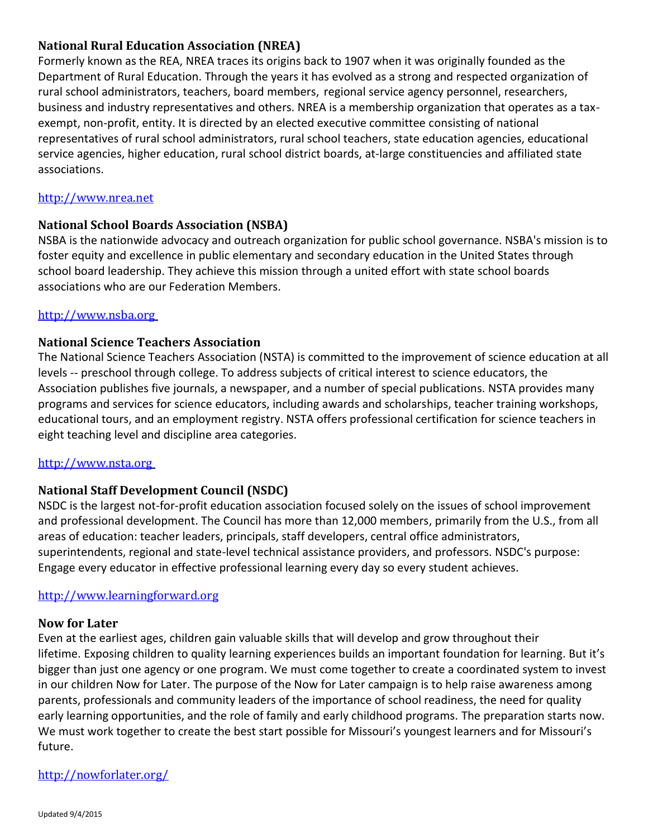# **[National Rural Education Association \(NREA\)](http://www.colostate.edu/Orgs/NREA/)**

Formerly known as the REA, NREA traces its origins back to 1907 when it was originally founded as the Department of Rural Education. Through the years it has evolved as a strong and respected organization of rural school administrators, teachers, board members, regional service agency personnel, researchers, business and industry representatives and others. NREA is a membership organization that operates as a taxexempt, non-profit, entity. It is directed by an elected executive committee consisting of national representatives of rural school administrators, rural school teachers, state education agencies, educational service agencies, higher education, rural school district boards, at-large constituencies and affiliated state associations.

#### [http://www.nrea.net](http://www.nrea.net/)

### **[National School Boards Association \(NSBA\)](http://www.nsba.org/)**

NSBA is the nationwide advocacy and outreach organization for public school governance. NSBA's mission is to foster equity and excellence in public elementary and secondary education in the United States through school board leadership. They achieve this mission through a united effort with state school boards associations who are our Federation Members.

### [http://www.nsba.org](http://www.nsba.org/)

### **[National Science Teachers Association](http://www.nsta.org/)**

The National Science Teachers Association (NSTA) is committed to the improvement of science education at all levels -- preschool through college. To address subjects of critical interest to science educators, the Association publishes five journals, a newspaper, and a number of special publications. NSTA provides many programs and services for science educators, including awards and scholarships, teacher training workshops, educational tours, and an employment registry. NSTA offers professional certification for science teachers in eight teaching level and discipline area categories.

#### [http://www.nsta.org](http://www.nsta.org/)

### **[National Staff Development Council \(NSDC\)](http://www.nsdc.org/)**

NSDC is the largest not-for-profit education association focused solely on the issues of school improvement and professional development. The Council has more than 12,000 members, primarily from the U.S., from all areas of education: teacher leaders, principals, staff developers, central office administrators, superintendents, regional and state-level technical assistance providers, and professors. NSDC's purpose: Engage every educator in effective professional learning every day so every student achieves.

#### [http://www.learningforward.org](http://www.learningforward.org/)

#### **[Now](http://www.nsdc.org/) for Later**

Even at the earliest ages, children gain valuable skills that will develop and grow throughout their lifetime. Exposing children to quality learning experiences builds an important foundation for learning. But it's bigger than just one agency or one program. We must come together to create a coordinated system to invest in our children Now for Later. The purpose of the Now for Later campaign is to help raise awareness among parents, professionals and community leaders of the importance of school readiness, the need for quality early learning opportunities, and the role of family and early childhood programs. The preparation starts now. We must work together to create the best start possible for Missouri's youngest learners and for Missouri's future.

#### <http://nowforlater.org/>